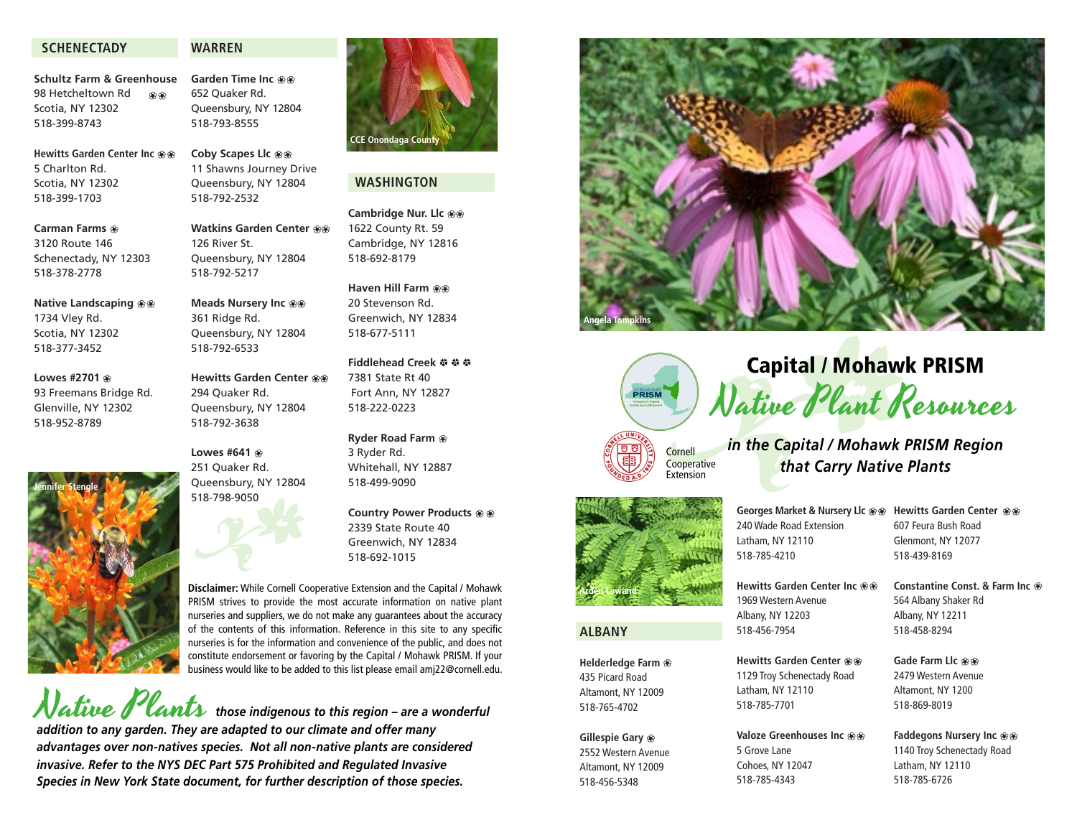### **SCHENECTADY**

#### **WARREN**

**Schultz Farm & Greenhouse** 98 Hetcheltown Rd Scotia, NY 12302 518-399-8743 i i

**Hewitts Garden Center Inc**  $\circledast \circledast$ 5 Charlton Rd. Scotia, NY 12302 518-399-1703

**Carman Farms**  $\circledast$ 3120 Route 146 Schenectady, NY 12303

518-378-2778

1734 Vley Rd. Scotia, NY 12302 518-377-3452

**Lowes #2701**  $\circledast$ 93 Freemans Bridge Rd. Glenville, NY 12302 518-952-8789

**Jennifer Stengle**

**Native Landscaping**  $\circledast \circledast$ 

**Coby Scapes Llc**  $\circledast \circledast$ 11 Shawns Journey Drive Queensbury, NY 12804 518-792-2532

**Garden Time Inc**  $\circledast \circledast$ 652 Quaker Rd. Queensbury, NY 12804 518-793-8555

**Watkins Garden Center**  $\circledast$ 126 River St. Queensbury, NY 12804 518-792-5217

**Meads Nursery Inc**  $\circledast\circledast$ 361 Ridge Rd. Queensbury, NY 12804 518-792-6533

**Hewitts Garden Center**  $\circledast\circ$ 294 Quaker Rd. Queensbury, NY 12804 518-792-3638

**Lowes #641**  $\circledast$ 251 Quaker Rd. Queensbury, NY 12804 518-798-9050

# 2339 State Route 40 Greenwich, NY 12834

**Disclaimer:** While Cornell Cooperative Extension and the Capital / Mohawk PRISM strives to provide the most accurate information on native plant nurseries and suppliers, we do not make any guarantees about the accuracy of the contents of this information. Reference in this site to any specific nurseries is for the information and convenience of the public, and does not constitute endorsement or favoring by the Capital / Mohawk PRISM. If your business would like to be added to this list please email amj22@cornell.edu. 518-798-9050<br>Disclaimer: While Cornell Co<br>PRISM strives to provide the

Native Plants *those indigenous to this region – are a wonderful addition to any garden. They are adapted to our climate and offer many advantages over non-natives species. Not all non-native plants are considered invasive. Refer to the NYS DEC Part 575 Prohibited and Regulated Invasive Species in New York State document, for further description of those species.*



# **WASHINGTON**

**Cambridge Nur. Llc**  $\circledast\circledast$ 1622 County Rt. 59 Cambridge, NY 12816 518-692-8179

#### **Haven Hill Farm ®®** 20 Stevenson Rd.

Greenwich, NY 12834 518-677-5111

#### Fiddlehead Creek 参 参 参 7381 State Rt 40 Fort Ann, NY 12827 518-222-0223

**Ryder Road Farm**  $\circledast$ 3 Ryder Rd. Whitehall, NY 12887 518-499-9090

**Country Power Products**  $\circledast \circledast$ 518-692-1015







Native Plant Resources



#### **ALBANY**

**Helderledge Farm**  $\circledast$ 435 Picard Road Altamont, NY 12009 518-765-4702

# **Gillespie Gary** i

2552 Western Avenue Altamont, NY 12009 518-456-5348

**Georges Market & Nursery Llc**  $\circledast \circledast$ 240 Wade Road Extension Latham, NY 12110 518-785-4210

**Hewitts Garden Center Inc**  $\circledast \circledast$ 1969 Western Avenue Albany, NY 12203 518-456-7954

**Hewitts Garden Center**  $\circledast \circledast$ 1129 Troy Schenectady Road Latham, NY 12110 518-785-7701

**Valoze Greenhouses Inc**  $\circledast \circledast$ 5 Grove Lane Cohoes, NY 12047 518-785-4343

**Hewitts Garden Center**  $\circledast \circledast$ 607 Feura Bush Road Glenmont, NY 12077 518-439-8169

**Constantine Const. & Farm Inc** i 564 Albany Shaker Rd Albany, NY 12211 518-458-8294

**Gade Farm Llc**  $\circledast \circledast$ 2479 Western Avenue Altamont, NY 1200 518-869-8019

**Faddegons Nursery Inc**  $\circledast \circledast$ 1140 Troy Schenectady Road Latham, NY 12110 518-785-6726